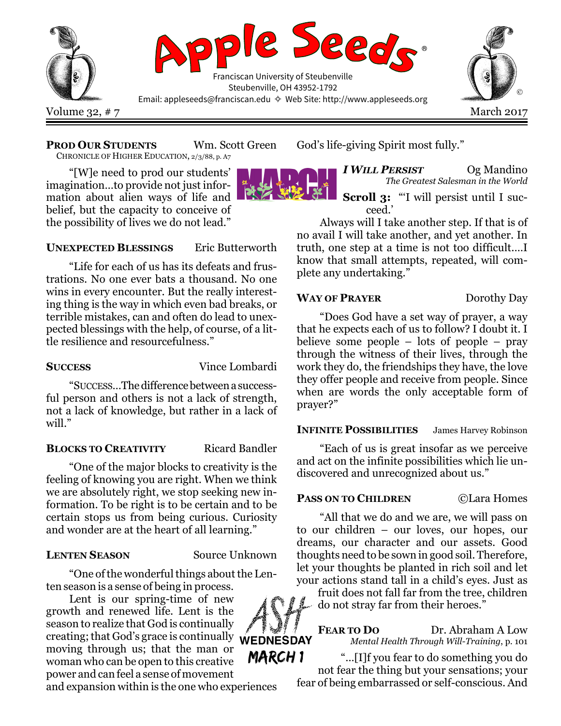

### PROD OUR STUDENTS Wm. Scott Green

CHRONICLE OF HIGHER EDUCATION, 2/3/88, p. A7

"[W]e need to prod our students' imagination…to provide not just information about alien ways of life and belief, but the capacity to conceive of the possibility of lives we do not lead."

### UNEXPECTED BLESSINGS Eric Butterworth

"Life for each of us has its defeats and frustrations. No one ever bats a thousand. No one wins in every encounter. But the really interesting thing is the way in which even bad breaks, or terrible mistakes, can and often do lead to unexpected blessings with the help, of course, of a little resilience and resourcefulness."

SUCCESS Vince Lombardi

"SUCCESS…The difference between a successful person and others is not a lack of strength, not a lack of knowledge, but rather in a lack of will."

### BLOCKS TO CREATIVITY Ricard Bandler

"One of the major blocks to creativity is the feeling of knowing you are right. When we think we are absolutely right, we stop seeking new information. To be right is to be certain and to be certain stops us from being curious. Curiosity and wonder are at the heart of all learning."

### LENTEN SEASON Source Unknown

"One of the wonderful things about the Lenten season is a sense of being in process.

Lent is our spring-time of new growth and renewed life. Lent is the season to realize that God is continually creating; that God's grace is continually **WEDNESDAY** moving through us; that the man or woman who can be open to this creative power and can feel a sense of movement

and expansion within is the one who experiences

God's life-giving Spirit most fully."

I WILL PERSIST Og Mandino The Greatest Salesman in the World

Scroll 3: "'I will persist until I succeed.'

Always will I take another step. If that is of no avail I will take another, and yet another. In truth, one step at a time is not too difficult.…I know that small attempts, repeated, will complete any undertaking."

# WAY OF PRAYER Dorothy Day

"Does God have a set way of prayer, a way that he expects each of us to follow? I doubt it. I believe some people – lots of people – pray through the witness of their lives, through the work they do, the friendships they have, the love they offer people and receive from people. Since when are words the only acceptable form of prayer?"

## INFINITE POSSIBILITIES James Harvey Robinson

"Each of us is great insofar as we perceive and act on the infinite possibilities which lie undiscovered and unrecognized about us."

## PASS ON TO CHILDREN ©Lara Homes

"All that we do and we are, we will pass on to our children – our loves, our hopes, our dreams, our character and our assets. Good thoughts need to be sown in good soil. Therefore, let your thoughts be planted in rich soil and let your actions stand tall in a child's eyes. Just as

fruit does not fall far from the tree, children do not stray far from their heroes."

FEAR TO DO Dr. Abraham A Low Mental Health Through Will-Training, p. 101

March 1 "…[I]f you fear to do something you do not fear the thing but your sensations; your fear of being embarrassed or self-conscious. And